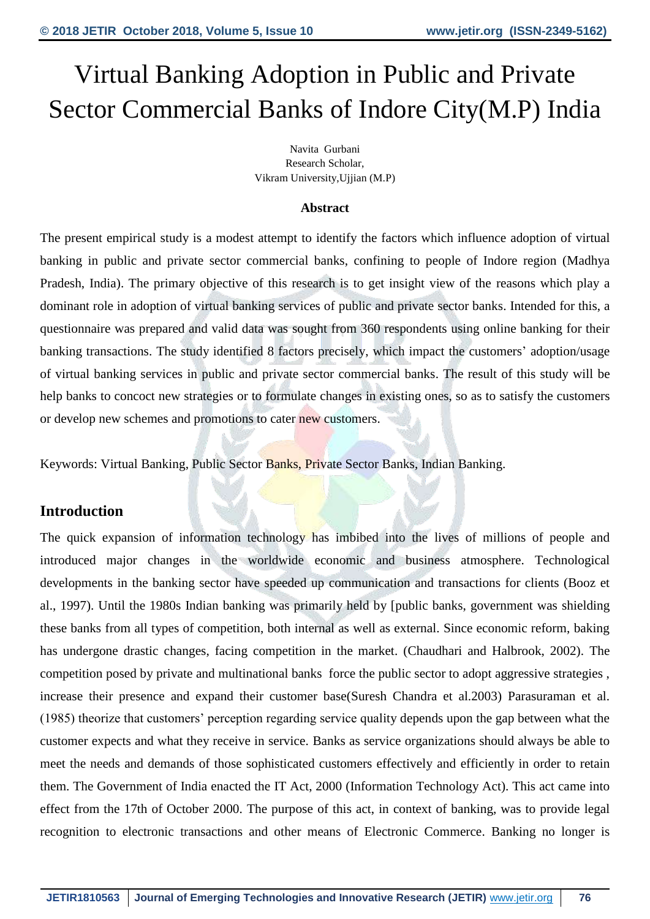# Virtual Banking Adoption in Public and Private Sector Commercial Banks of Indore City(M.P) India

Navita Gurbani Research Scholar, Vikram University,Ujjian (M.P)

#### **Abstract**

The present empirical study is a modest attempt to identify the factors which influence adoption of virtual banking in public and private sector commercial banks, confining to people of Indore region (Madhya Pradesh, India). The primary objective of this research is to get insight view of the reasons which play a dominant role in adoption of virtual banking services of public and private sector banks. Intended for this, a questionnaire was prepared and valid data was sought from 360 respondents using online banking for their banking transactions. The study identified 8 factors precisely, which impact the customers' adoption/usage of virtual banking services in public and private sector commercial banks. The result of this study will be help banks to concoct new strategies or to formulate changes in existing ones, so as to satisfy the customers or develop new schemes and promotions to cater new customers.

Keywords: Virtual Banking, Public Sector Banks, Private Sector Banks, Indian Banking.

## **Introduction**

The quick expansion of information technology has imbibed into the lives of millions of people and introduced major changes in the worldwide economic and business atmosphere. Technological developments in the banking sector have speeded up communication and transactions for clients (Booz et al., 1997). Until the 1980s Indian banking was primarily held by [public banks, government was shielding these banks from all types of competition, both internal as well as external. Since economic reform, baking has undergone drastic changes, facing competition in the market. (Chaudhari and Halbrook, 2002). The competition posed by private and multinational banks force the public sector to adopt aggressive strategies , increase their presence and expand their customer base(Suresh Chandra et al.2003) Parasuraman et al. (1985) theorize that customers' perception regarding service quality depends upon the gap between what the customer expects and what they receive in service. Banks as service organizations should always be able to meet the needs and demands of those sophisticated customers effectively and efficiently in order to retain them. The Government of India enacted the IT Act, 2000 (Information Technology Act). This act came into effect from the 17th of October 2000. The purpose of this act, in context of banking, was to provide legal recognition to electronic transactions and other means of Electronic Commerce. Banking no longer is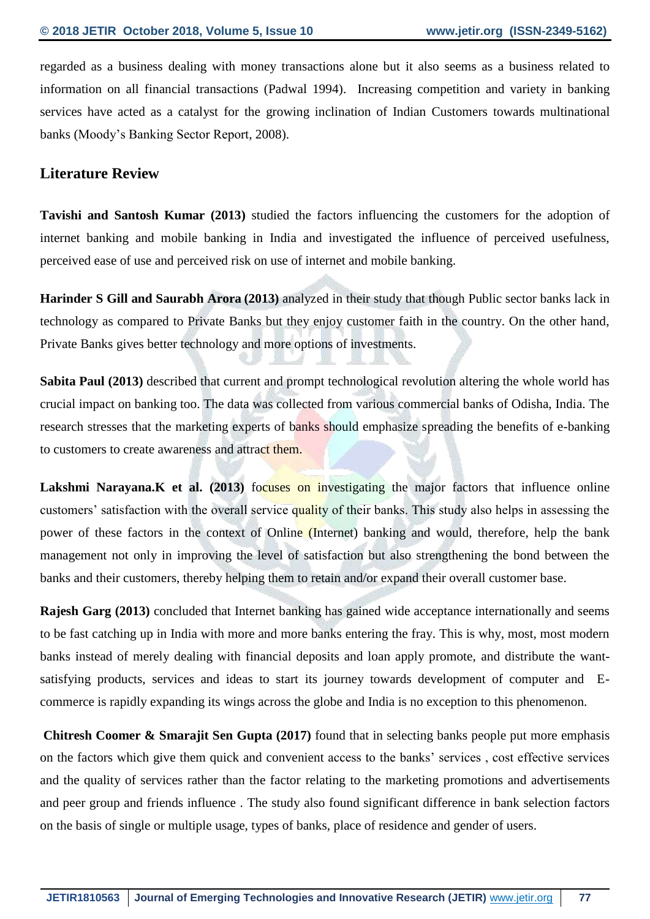regarded as a business dealing with money transactions alone but it also seems as a business related to information on all financial transactions (Padwal 1994). Increasing competition and variety in banking services have acted as a catalyst for the growing inclination of Indian Customers towards multinational banks (Moody's Banking Sector Report, 2008).

## **Literature Review**

**Tavishi and Santosh Kumar (2013)** studied the factors influencing the customers for the adoption of internet banking and mobile banking in India and investigated the influence of perceived usefulness, perceived ease of use and perceived risk on use of internet and mobile banking.

**Harinder S Gill and Saurabh Arora (2013)** analyzed in their study that though Public sector banks lack in technology as compared to Private Banks but they enjoy customer faith in the country. On the other hand, Private Banks gives better technology and more options of investments.

**Sabita Paul (2013)** described that current and prompt technological revolution altering the whole world has crucial impact on banking too. The data was collected from various commercial banks of Odisha, India. The research stresses that the marketing experts of banks should emphasize spreading the benefits of e-banking to customers to create awareness and attract them.

Lakshmi Narayana.K et al. (2013) focuses on investigating the major factors that influence online customers' satisfaction with the overall service quality of their banks. This study also helps in assessing the power of these factors in the context of Online (Internet) banking and would, therefore, help the bank management not only in improving the level of satisfaction but also strengthening the bond between the banks and their customers, thereby helping them to retain and/or expand their overall customer base.

**Rajesh Garg (2013)** concluded that Internet banking has gained wide acceptance internationally and seems to be fast catching up in India with more and more banks entering the fray. This is why, most, most modern banks instead of merely dealing with financial deposits and loan apply promote, and distribute the wantsatisfying products, services and ideas to start its journey towards development of computer and Ecommerce is rapidly expanding its wings across the globe and India is no exception to this phenomenon.

**Chitresh Coomer & Smarajit Sen Gupta (2017)** found that in selecting banks people put more emphasis on the factors which give them quick and convenient access to the banks' services , cost effective services and the quality of services rather than the factor relating to the marketing promotions and advertisements and peer group and friends influence . The study also found significant difference in bank selection factors on the basis of single or multiple usage, types of banks, place of residence and gender of users.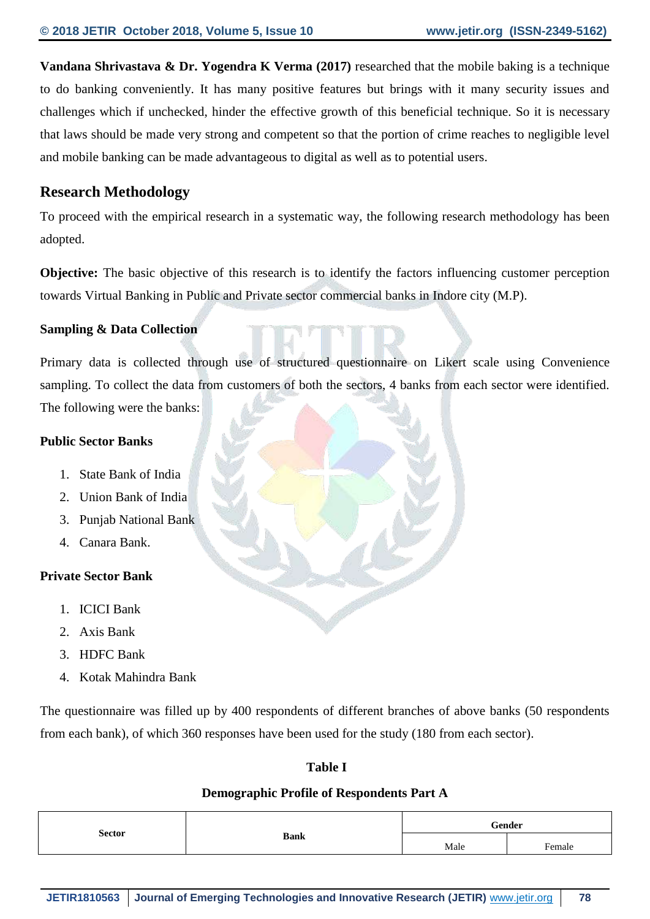**Vandana Shrivastava & Dr. Yogendra K Verma (2017)** researched that the mobile baking is a technique to do banking conveniently. It has many positive features but brings with it many security issues and challenges which if unchecked, hinder the effective growth of this beneficial technique. So it is necessary that laws should be made very strong and competent so that the portion of crime reaches to negligible level and mobile banking can be made advantageous to digital as well as to potential users.

## **Research Methodology**

To proceed with the empirical research in a systematic way, the following research methodology has been adopted.

**Objective:** The basic objective of this research is to identify the factors influencing customer perception towards Virtual Banking in Public and Private sector commercial banks in Indore city (M.P).

## **Sampling & Data Collection**

Primary data is collected through use of structured questionnaire on Likert scale using Convenience sampling. To collect the data from customers of both the sectors, 4 banks from each sector were identified. The following were the banks:

## **Public Sector Banks**

- 1. State Bank of India
- 2. Union Bank of India
- 3. Punjab National Bank
- 4. Canara Bank.

## **Private Sector Bank**

- 1. ICICI Bank
- 2. Axis Bank
- 3. HDFC Bank
- 4. Kotak Mahindra Bank

The questionnaire was filled up by 400 respondents of different branches of above banks (50 respondents from each bank), of which 360 responses have been used for the study (180 from each sector).

## **Table I**

## **Demographic Profile of Respondents Part A**

|               |             |      | $^\circ$ ender<br>. |
|---------------|-------------|------|---------------------|
| <b>Sector</b> | <b>Bank</b> | Male | $F$ emale           |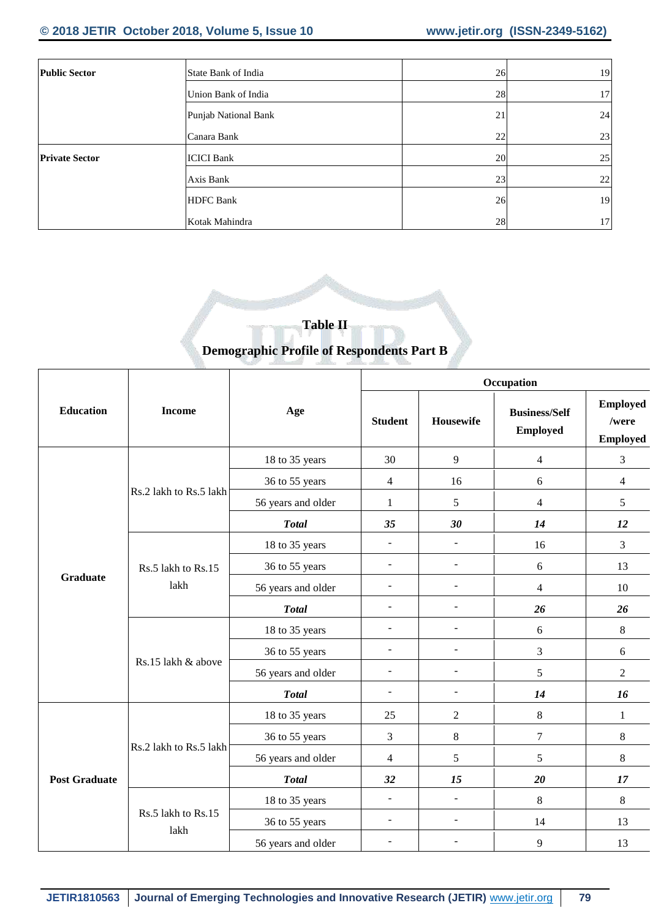## **© 2018 JETIR October 2018, Volume 5, Issue 10 www.jetir.org (ISSN-2349-5162)**

| <b>Public Sector</b>  | State Bank of India  | 26 | 19 |
|-----------------------|----------------------|----|----|
|                       | Union Bank of India  | 28 | 17 |
|                       | Punjab National Bank | 21 | 24 |
|                       | Canara Bank          | 22 | 23 |
| <b>Private Sector</b> | <b>ICICI Bank</b>    | 20 | 25 |
|                       | Axis Bank            | 23 | 22 |
|                       | <b>HDFC</b> Bank     | 26 | 19 |
|                       | Kotak Mahindra       | 28 | 17 |

## **Table II Demographic Profile of Respondents Part B**

|                      |                            |                    |                          |                          | Occupation                              |                                             |
|----------------------|----------------------------|--------------------|--------------------------|--------------------------|-----------------------------------------|---------------------------------------------|
| <b>Education</b>     | <b>Income</b>              | Age                | <b>Student</b>           | Housewife                | <b>Business/Self</b><br><b>Employed</b> | <b>Employed</b><br>/were<br><b>Employed</b> |
|                      |                            | 18 to 35 years     | 30                       | 9                        | $\overline{4}$                          | 3                                           |
|                      |                            | 36 to 55 years     | 4                        | 16                       | 6                                       | $\overline{4}$                              |
|                      | Rs.2 lakh to Rs.5 lakh     | 56 years and older | $\mathbf{1}$             | 5                        | $\overline{\mathcal{L}}$                | 5                                           |
|                      |                            | <b>Total</b>       | 35                       | 30                       | 14                                      | 12                                          |
|                      |                            | 18 to 35 years     | $\overline{\phantom{a}}$ | $\overline{\phantom{a}}$ | 16                                      | $\mathfrak{Z}$                              |
|                      | Rs.5 lakh to Rs.15<br>lakh | 36 to 55 years     | $\equiv$                 | $\Box$                   | 6                                       | 13                                          |
| <b>Graduate</b>      |                            | 56 years and older | $\blacksquare$           | $\overline{\phantom{a}}$ | $\overline{\mathcal{L}}$                | 10                                          |
|                      |                            | <b>Total</b>       | $\overline{\phantom{a}}$ | $\overline{\phantom{a}}$ | 26                                      | 26                                          |
|                      |                            | 18 to 35 years     | $\overline{\phantom{a}}$ | $\blacksquare$           | 6                                       | 8                                           |
|                      |                            | 36 to 55 years     | $\equiv$                 | $\frac{1}{2}$            | $\ensuremath{\mathfrak{Z}}$             | 6                                           |
|                      | Rs.15 lakh & above         | 56 years and older | $\blacksquare$           | $\overline{\phantom{a}}$ | 5                                       | $\sqrt{2}$                                  |
|                      |                            | <b>Total</b>       | $\blacksquare$           | $\overline{\phantom{a}}$ | 14                                      | 16                                          |
|                      |                            | 18 to 35 years     | 25                       | $\overline{2}$           | $8\,$                                   | $\mathbf{1}$                                |
|                      |                            | 36 to 55 years     | 3                        | 8                        | 7                                       | 8                                           |
|                      | Rs.2 lakh to Rs.5 lakh     | 56 years and older | $\overline{4}$           | 5                        | 5                                       | $8\,$                                       |
| <b>Post Graduate</b> |                            | <b>Total</b>       | 32                       | 15                       | 20                                      | 17                                          |
|                      |                            | 18 to 35 years     | $\blacksquare$           | $\frac{1}{2}$            | 8                                       | $8\,$                                       |
|                      | Rs.5 lakh to Rs.15         | 36 to 55 years     | $\blacksquare$           | $\blacksquare$           | 14                                      | 13                                          |
|                      | lakh                       | 56 years and older | $\overline{\phantom{a}}$ | $\overline{a}$           | 9                                       | 13                                          |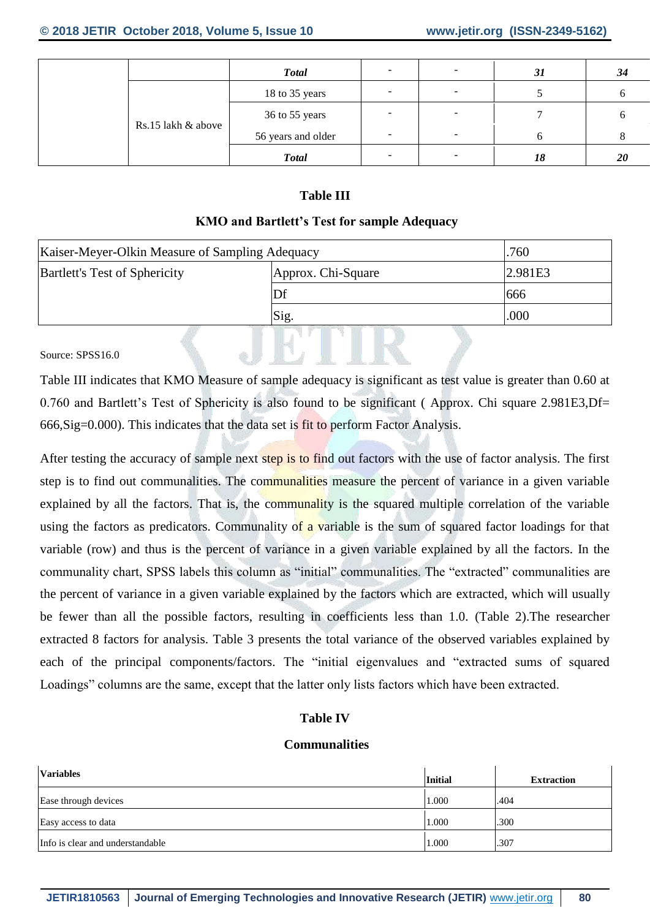|                    | <b>Total</b>       | $\overline{\phantom{0}}$ |   | 31 | 34           |
|--------------------|--------------------|--------------------------|---|----|--------------|
|                    | 18 to 35 years     | -                        | - |    | <sub>0</sub> |
|                    | 36 to 55 years     | -                        |   |    | 6            |
| Rs.15 lakh & above | 56 years and older | $\overline{\phantom{0}}$ |   |    | 8            |
|                    | <b>Total</b>       | $\overline{\phantom{a}}$ |   | 18 | 20           |

## **Table III**

### **KMO and Bartlett's Test for sample Adequacy**

| Kaiser-Meyer-Olkin Measure of Sampling Adequacy | .760               |      |  |  |  |
|-------------------------------------------------|--------------------|------|--|--|--|
| <b>Bartlett's Test of Sphericity</b>            | Approx. Chi-Square |      |  |  |  |
|                                                 |                    | 666  |  |  |  |
|                                                 | Sig.               | .000 |  |  |  |
|                                                 |                    |      |  |  |  |

#### Source: SPSS16.0

Table III indicates that KMO Measure of sample adequacy is significant as test value is greater than 0.60 at 0.760 and Bartlett's Test of Sphericity is also found to be significant ( Approx. Chi square 2.981E3,Df= 666,Sig=0.000). This indicates that the data set is fit to perform Factor Analysis.

 $M = \mathbb{R}$ 

After testing the accuracy of sample next step is to find out factors with the use of factor analysis. The first step is to find out communalities. The communalities measure the percent of variance in a given variable explained by all the factors. That is, the communality is the squared multiple correlation of the variable using the factors as predicators. Communality of a variable is the sum of squared factor loadings for that variable (row) and thus is the percent of variance in a given variable explained by all the factors. In the communality chart, SPSS labels this column as "initial" communalities. The "extracted" communalities are the percent of variance in a given variable explained by the factors which are extracted, which will usually be fewer than all the possible factors, resulting in coefficients less than 1.0. (Table 2).The researcher extracted 8 factors for analysis. Table 3 presents the total variance of the observed variables explained by each of the principal components/factors. The "initial eigenvalues and "extracted sums of squared Loadings" columns are the same, except that the latter only lists factors which have been extracted.

## **Table IV**

#### **Communalities**

| <b>Variables</b>                 | <b>Initial</b> | <b>Extraction</b> |
|----------------------------------|----------------|-------------------|
| Ease through devices             | 1.000          | .404              |
| Easy access to data              | 1.000          | .300              |
| Info is clear and understandable | 1.000          | .307              |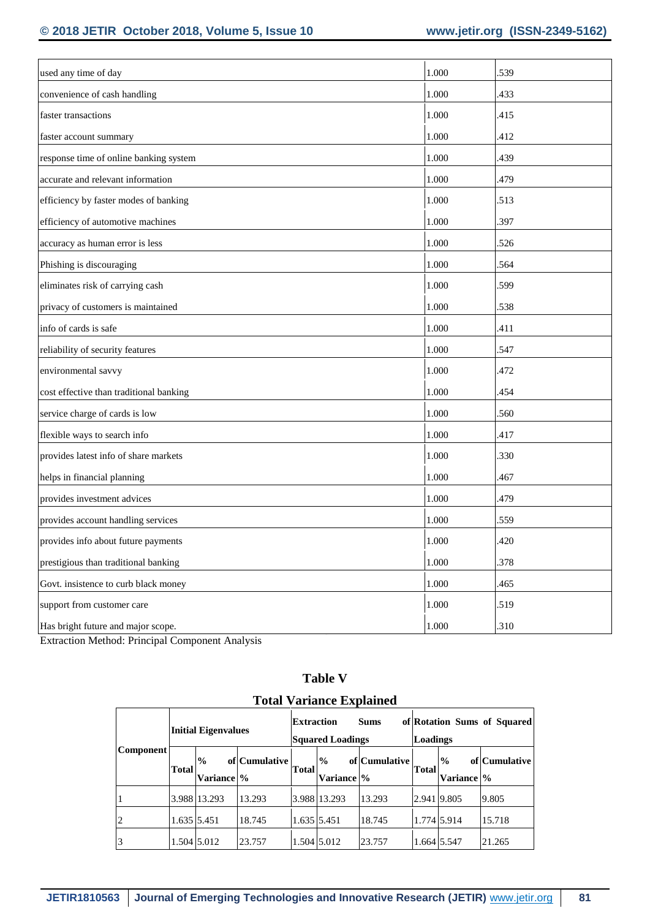| used any time of day                    | 1.000     | .539 |
|-----------------------------------------|-----------|------|
| convenience of cash handling            | 1.000     | .433 |
| faster transactions                     | 1.000     | .415 |
| faster account summary                  | 1.000     | .412 |
| response time of online banking system  | 1.000     | .439 |
| accurate and relevant information       | 1.000     | .479 |
| efficiency by faster modes of banking   | 1.000     | .513 |
| efficiency of automotive machines       | 1.000     | .397 |
| accuracy as human error is less         | 1.000     | .526 |
| Phishing is discouraging                | 1.000     | .564 |
| eliminates risk of carrying cash        | 1.000     | .599 |
| privacy of customers is maintained      | 1.000     | .538 |
| info of cards is safe                   | 1.000     | .411 |
| reliability of security features        | 1.000     | .547 |
| environmental savvy                     | 1.000     | .472 |
| cost effective than traditional banking | 1.000     | .454 |
| service charge of cards is low          | 1.000     | .560 |
| flexible ways to search info            | 1.000     | .417 |
| provides latest info of share markets   | 1.000     | .330 |
| helps in financial planning             | 1.000     | .467 |
| provides investment advices             | 1.000     | .479 |
| provides account handling services      | 1.000     | .559 |
| provides info about future payments     | 1.000     | .420 |
| prestigious than traditional banking    | 1.000     | .378 |
| Govt. insistence to curb black money    | $1.000\,$ | .465 |
| support from customer care              | $1.000\,$ | .519 |
| Has bright future and major scope.      | $1.000\,$ | .310 |

Extraction Method: Principal Component Analysis

| <b>Total Variance Explained</b> |                            |                             |               |                   |                              |               |                                                |                             |               |  |
|---------------------------------|----------------------------|-----------------------------|---------------|-------------------|------------------------------|---------------|------------------------------------------------|-----------------------------|---------------|--|
| Component                       | <b>Initial Eigenvalues</b> |                             |               | <b>Extraction</b> | <b>Squared Loadings</b>      | <b>Sums</b>   | of Rotation Sums of Squared<br><b>Loadings</b> |                             |               |  |
|                                 | Total                      | $\frac{0}{0}$<br>Variance % | of Cumulative | Total             | $\frac{0}{0}$<br>Variance  % | of Cumulative | <b>Total</b>                                   | $\frac{0}{0}$<br>Variance % | of Cumulative |  |
|                                 |                            | 3.988 13.293                | 13.293        |                   | 3.988 13.293                 | 13.293        | 2.941 9.805                                    |                             | 9.805         |  |
| $\overline{2}$                  | 1.635 5.451                |                             | 18.745        | 1.635 5.451       |                              | 18.745        | 1.774 5.914                                    |                             | 15.718        |  |
| 3                               |                            | 1.504 5.012                 | 23.757        |                   | 1.504 5.012                  | 23.757        | 1.664 5.547                                    |                             | 21.265        |  |

# **Table V**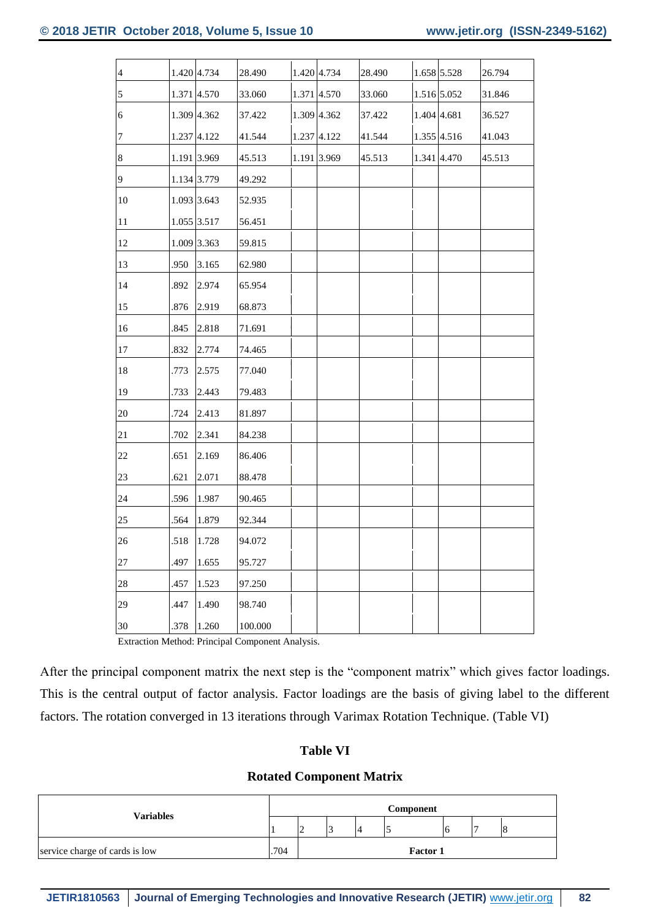| $\overline{4}$ |      | 1.420 4.734 | 28.490  | 1.420 4.734 | 28.490 | 1.658 5.528 | 26.794 |
|----------------|------|-------------|---------|-------------|--------|-------------|--------|
| $\overline{5}$ |      | 1.371 4.570 | 33.060  | 1.371 4.570 | 33.060 | 1.516 5.052 | 31.846 |
| 6              |      | 1.309 4.362 | 37.422  | 1.309 4.362 | 37.422 | 1.404 4.681 | 36.527 |
| 7              |      | 1.237 4.122 | 41.544  | 1.237 4.122 | 41.544 | 1.355 4.516 | 41.043 |
| $\bf 8$        |      | 1.191 3.969 | 45.513  | 1.191 3.969 | 45.513 | 1.341 4.470 | 45.513 |
| $\overline{9}$ |      | 1.134 3.779 | 49.292  |             |        |             |        |
| 10             |      | 1.093 3.643 | 52.935  |             |        |             |        |
| 11             |      | 1.055 3.517 | 56.451  |             |        |             |        |
| 12             |      | 1.009 3.363 | 59.815  |             |        |             |        |
| 13             | .950 | 3.165       | 62.980  |             |        |             |        |
| 14             | .892 | 2.974       | 65.954  |             |        |             |        |
| 15             | .876 | 2.919       | 68.873  |             |        |             |        |
| 16             | .845 | 2.818       | 71.691  |             |        |             |        |
| 17             | .832 | 2.774       | 74.465  |             |        |             |        |
| 18             | .773 | 2.575       | 77.040  |             |        |             |        |
| 19             | .733 | 2.443       | 79.483  |             |        |             |        |
| 20             | .724 | 2.413       | 81.897  |             |        |             |        |
| 21             | .702 | 2.341       | 84.238  |             |        |             |        |
| 22             | .651 | 2.169       | 86.406  |             |        |             |        |
| 23             | .621 | 2.071       | 88.478  |             |        |             |        |
| 24             | .596 | 1.987       | 90.465  |             |        |             |        |
| 25             | .564 | 1.879       | 92.344  |             |        |             |        |
| 26             | .518 | 1.728       | 94.072  |             |        |             |        |
| 27             | .497 | 1.655       | 95.727  |             |        |             |        |
| 28             | .457 | 1.523       | 97.250  |             |        |             |        |
| 29             | .447 | 1.490       | 98.740  |             |        |             |        |
| 30             | .378 | 1.260       | 100.000 |             |        |             |        |

Extraction Method: Principal Component Analysis.

After the principal component matrix the next step is the "component matrix" which gives factor loadings. This is the central output of factor analysis. Factor loadings are the basis of giving label to the different factors. The rotation converged in 13 iterations through Varimax Rotation Technique. (Table VI)

#### **Table VI**

#### **Rotated Component Matrix**

| Variables                              |  | Component |        |  |                 |  |  |  |  |  |
|----------------------------------------|--|-----------|--------|--|-----------------|--|--|--|--|--|
|                                        |  | $\sim$    | $\sim$ |  |                 |  |  |  |  |  |
| .704<br>service charge of cards is low |  |           |        |  | <b>Factor 1</b> |  |  |  |  |  |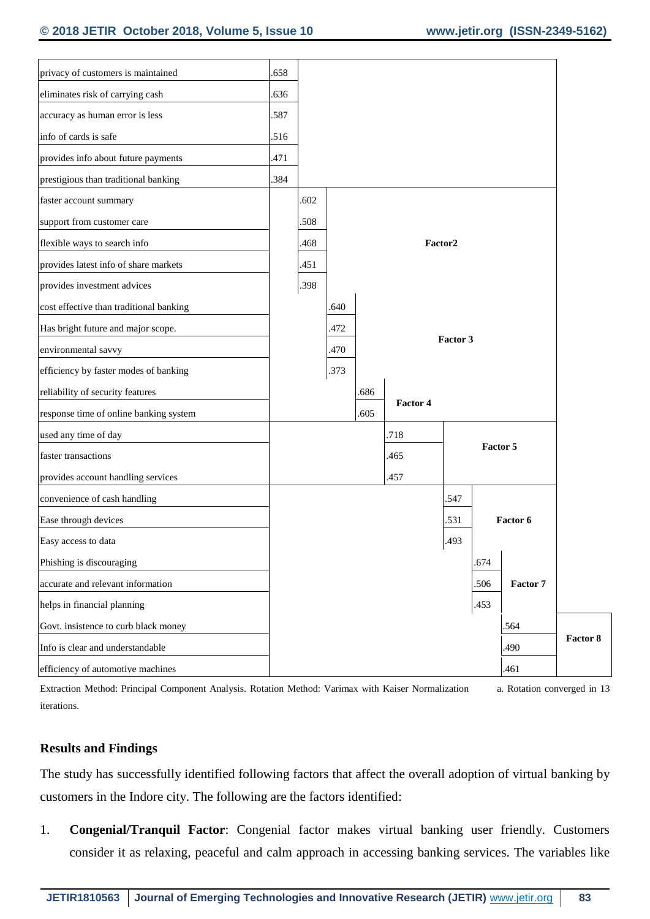| privacy of customers is maintained      | .658 |      |      |      |          |          |          |          |
|-----------------------------------------|------|------|------|------|----------|----------|----------|----------|
| eliminates risk of carrying cash        | .636 |      |      |      |          |          |          |          |
| accuracy as human error is less         | .587 |      |      |      |          |          |          |          |
| info of cards is safe                   | .516 |      |      |      |          |          |          |          |
| provides info about future payments     | .471 |      |      |      |          |          |          |          |
| prestigious than traditional banking    | .384 |      |      |      |          |          |          |          |
| faster account summary                  |      | .602 |      |      |          |          |          |          |
| support from customer care              |      | .508 |      |      |          |          |          |          |
| flexible ways to search info            |      | .468 |      |      |          | Factor2  |          |          |
| provides latest info of share markets   |      | .451 |      |      |          |          |          |          |
| provides investment advices             |      | .398 |      |      |          |          |          |          |
| cost effective than traditional banking |      |      | .640 |      |          |          |          |          |
| Has bright future and major scope.      |      |      | .472 |      |          |          |          |          |
| environmental savvy                     |      |      | .470 |      |          | Factor 3 |          |          |
| efficiency by faster modes of banking   |      |      | .373 |      |          |          |          |          |
| reliability of security features        |      |      |      | .686 |          |          |          |          |
| response time of online banking system  |      |      |      | .605 | Factor 4 |          |          |          |
| used any time of day                    |      |      |      |      | .718     |          |          |          |
| faster transactions                     |      |      |      |      | .465     |          | Factor 5 |          |
| provides account handling services      |      |      |      |      | .457     |          |          |          |
| convenience of cash handling            |      |      |      |      |          | .547     |          |          |
| Ease through devices                    |      |      |      |      |          | .531     |          | Factor 6 |
| Easy access to data                     |      |      |      |      |          | .493     |          |          |
| Phishing is discouraging                |      |      |      |      |          |          | .674     |          |
| accurate and relevant information       |      |      |      |      |          |          | .506     | Factor 7 |
| helps in financial planning             |      |      |      |      |          |          | .453     |          |
| Govt. insistence to curb black money    |      |      |      |      |          |          |          | .564     |
| Info is clear and understandable        |      |      |      |      |          |          |          | .490     |
| efficiency of automotive machines       |      |      |      |      |          |          |          | .461     |

Extraction Method: Principal Component Analysis. Rotation Method: Varimax with Kaiser Normalization a. Rotation converged in 13 iterations.

#### **Results and Findings**

The study has successfully identified following factors that affect the overall adoption of virtual banking by customers in the Indore city. The following are the factors identified:

1. **Congenial/Tranquil Factor**: Congenial factor makes virtual banking user friendly. Customers consider it as relaxing, peaceful and calm approach in accessing banking services. The variables like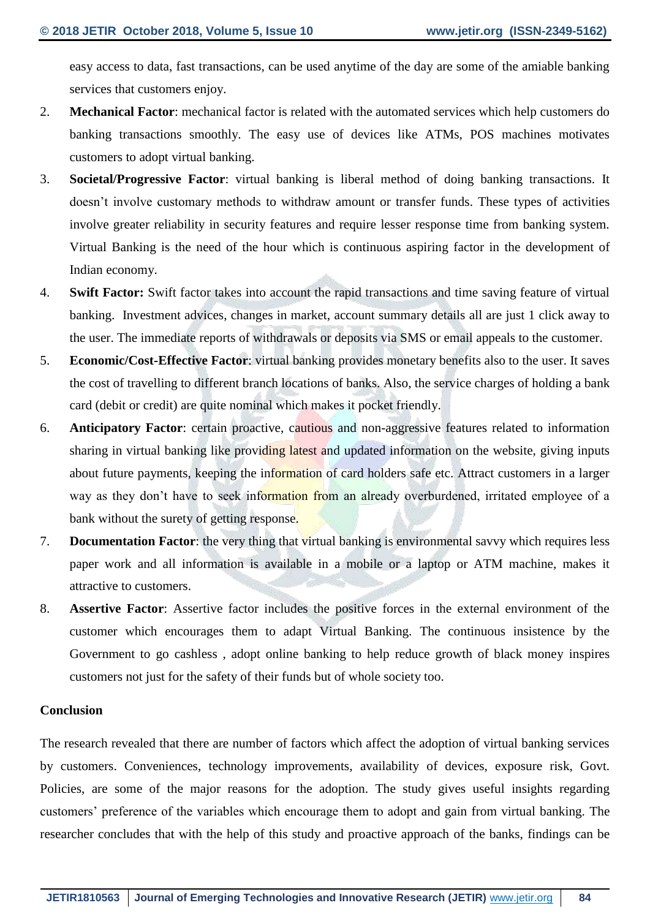easy access to data, fast transactions, can be used anytime of the day are some of the amiable banking services that customers enjoy.

- 2. **Mechanical Factor**: mechanical factor is related with the automated services which help customers do banking transactions smoothly. The easy use of devices like ATMs, POS machines motivates customers to adopt virtual banking.
- 3. **Societal/Progressive Factor**: virtual banking is liberal method of doing banking transactions. It doesn't involve customary methods to withdraw amount or transfer funds. These types of activities involve greater reliability in security features and require lesser response time from banking system. Virtual Banking is the need of the hour which is continuous aspiring factor in the development of Indian economy.
- 4. **Swift Factor:** Swift factor takes into account the rapid transactions and time saving feature of virtual banking. Investment advices, changes in market, account summary details all are just 1 click away to the user. The immediate reports of withdrawals or deposits via SMS or email appeals to the customer.
- 5. **Economic/Cost-Effective Factor**: virtual banking provides monetary benefits also to the user. It saves the cost of travelling to different branch locations of banks. Also, the service charges of holding a bank card (debit or credit) are quite nominal which makes it pocket friendly.
- 6. **Anticipatory Factor**: certain proactive, cautious and non-aggressive features related to information sharing in virtual banking like providing latest and updated information on the website, giving inputs about future payments, keeping the information of card holders safe etc. Attract customers in a larger way as they don't have to seek information from an already overburdened, irritated employee of a bank without the surety of getting response.
- 7. **Documentation Factor**: the very thing that virtual banking is environmental savvy which requires less paper work and all information is available in a mobile or a laptop or ATM machine, makes it attractive to customers.
- 8. **Assertive Factor**: Assertive factor includes the positive forces in the external environment of the customer which encourages them to adapt Virtual Banking. The continuous insistence by the Government to go cashless , adopt online banking to help reduce growth of black money inspires customers not just for the safety of their funds but of whole society too.

#### **Conclusion**

The research revealed that there are number of factors which affect the adoption of virtual banking services by customers. Conveniences, technology improvements, availability of devices, exposure risk, Govt. Policies, are some of the major reasons for the adoption. The study gives useful insights regarding customers' preference of the variables which encourage them to adopt and gain from virtual banking. The researcher concludes that with the help of this study and proactive approach of the banks, findings can be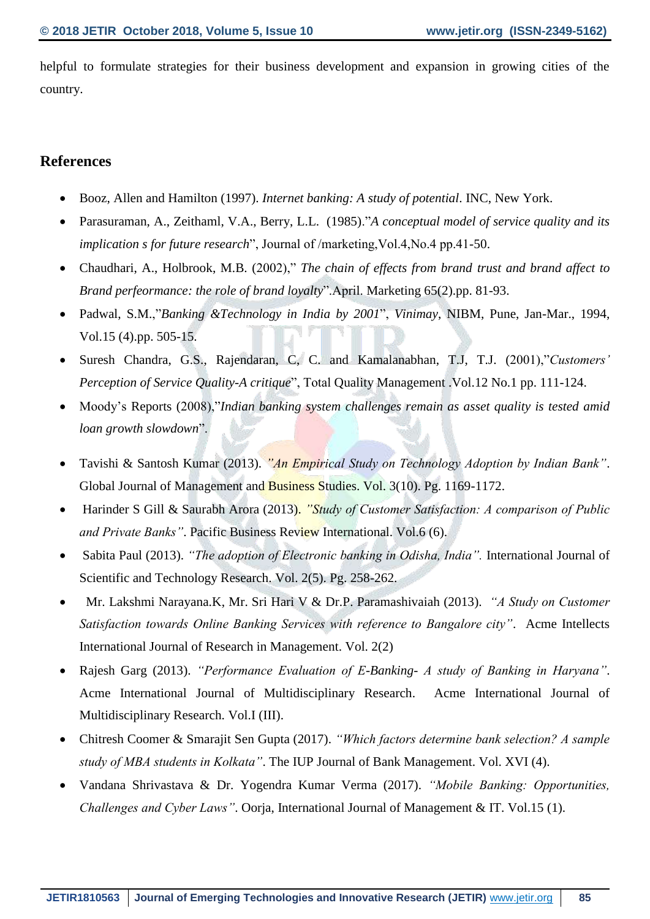helpful to formulate strategies for their business development and expansion in growing cities of the country.

## **References**

- Booz, Allen and Hamilton (1997). *Internet banking: A study of potential*. INC, New York.
- Parasuraman, A., Zeithaml, V.A., Berry, L.L. (1985)."*A conceptual model of service quality and its implication s for future research*", Journal of /marketing,Vol.4,No.4 pp.41-50.
- Chaudhari, A., Holbrook, M.B. (2002)," *The chain of effects from brand trust and brand affect to Brand perfeormance: the role of brand loyalty*".April. Marketing 65(2).pp. 81-93.
- Padwal, S.M.,"*Banking &Technology in India by 2001*", *Vinimay*, NIBM, Pune, Jan-Mar., 1994, Vol.15 (4).pp. 505-15.
- Suresh Chandra, G.S., Rajendaran, C, C. and Kamalanabhan, T.J, T.J. (2001),"*Customers' Perception of Service Quality-A critique*", Total Quality Management .Vol.12 No.1 pp. 111-124.
- Moody's Reports (2008),"*Indian banking system challenges remain as asset quality is tested amid loan growth slowdown*".
- Tavishi & Santosh Kumar (2013). *"An Empirical Study on Technology Adoption by Indian Bank"*. Global Journal of Management and Business Studies. Vol. 3(10). Pg. 1169-1172.
- Harinder S Gill & Saurabh Arora (2013). *"Study of Customer Satisfaction: A comparison of Public and Private Banks"*. Pacific Business Review International. Vol.6 (6).
- Sabita Paul (2013). *"The adoption of Electronic banking in Odisha, India".* International Journal of Scientific and Technology Research. Vol. 2(5). Pg. 258-262.
- Mr. Lakshmi Narayana.K, Mr. Sri Hari V & Dr.P. Paramashivaiah (2013). *"A Study on Customer Satisfaction towards Online Banking Services with reference to Bangalore city"*. Acme Intellects International Journal of Research in Management. Vol. 2(2)
- Rajesh Garg (2013). *"Performance Evaluation of E-Banking- A study of Banking in Haryana"*. Acme International Journal of Multidisciplinary Research. Acme International Journal of Multidisciplinary Research. Vol.I (III).
- Chitresh Coomer & Smarajit Sen Gupta (2017). *"Which factors determine bank selection? A sample study of MBA students in Kolkata"*. The IUP Journal of Bank Management. Vol. XVI (4).
- Vandana Shrivastava & Dr. Yogendra Kumar Verma (2017). *"Mobile Banking: Opportunities, Challenges and Cyber Laws"*. Oorja, International Journal of Management & IT. Vol.15 (1).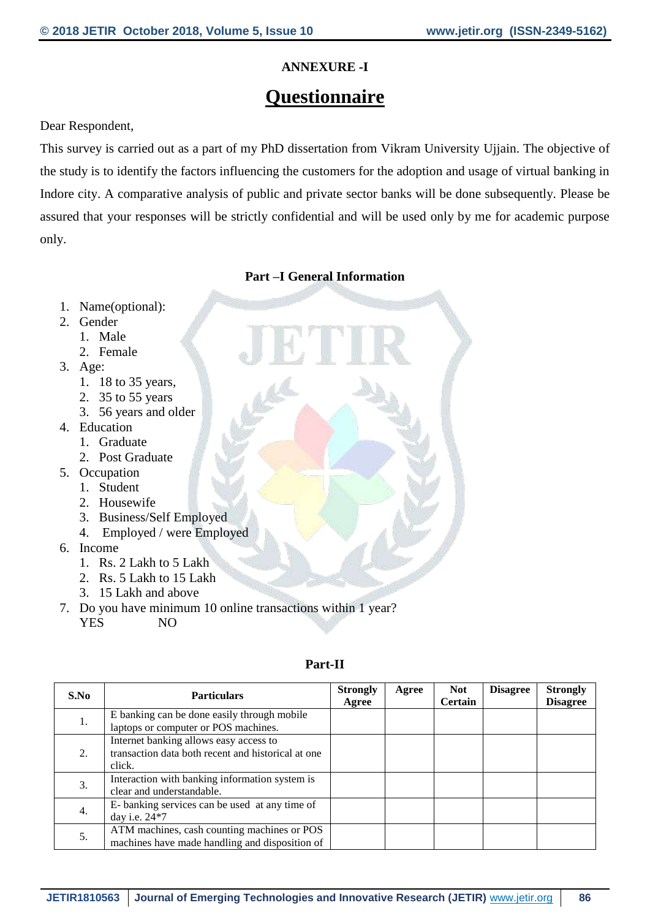## **ANNEXURE -I**

## **Questionnaire**

Dear Respondent,

This survey is carried out as a part of my PhD dissertation from Vikram University Ujjain. The objective of the study is to identify the factors influencing the customers for the adoption and usage of virtual banking in Indore city. A comparative analysis of public and private sector banks will be done subsequently. Please be assured that your responses will be strictly confidential and will be used only by me for academic purpose only.

## **Part –I General Information**

- 1. Name(optional):
- 2. Gender
	- 1. Male
	- 2. Female
- 3. Age:
	- 1. 18 to 35 years,
	- 2. 35 to 55 years
	- 3. 56 years and older
- 4. Education
	- 1. Graduate
	- 2. Post Graduate
- 5. Occupation
	- 1. Student
	- 2. Housewife
	- 3. Business/Self Employed
	- 4. Employed / were Employed
- 6. Income
	- 1. Rs. 2 Lakh to 5 Lakh
	- 2. Rs. 5 Lakh to 15 Lakh
	- 3. 15 Lakh and above
- 7. Do you have minimum 10 online transactions within 1 year?
	- YES NO

| S.No | <b>Particulars</b>                                 | <b>Strongly</b><br>Agree | Agree | <b>Not</b><br><b>Certain</b> | <b>Disagree</b> | <b>Strongly</b><br><b>Disagree</b> |
|------|----------------------------------------------------|--------------------------|-------|------------------------------|-----------------|------------------------------------|
| 1.   | E banking can be done easily through mobile        |                          |       |                              |                 |                                    |
|      | laptops or computer or POS machines.               |                          |       |                              |                 |                                    |
|      | Internet banking allows easy access to             |                          |       |                              |                 |                                    |
| 2.   | transaction data both recent and historical at one |                          |       |                              |                 |                                    |
|      | click.                                             |                          |       |                              |                 |                                    |
|      | Interaction with banking information system is     |                          |       |                              |                 |                                    |
| 3.   | clear and understandable.                          |                          |       |                              |                 |                                    |
|      | E-banking services can be used at any time of      |                          |       |                              |                 |                                    |
| 4.   | day i.e. 24*7                                      |                          |       |                              |                 |                                    |
|      | ATM machines, cash counting machines or POS        |                          |       |                              |                 |                                    |
| 5.   | machines have made handling and disposition of     |                          |       |                              |                 |                                    |

#### **Part-II**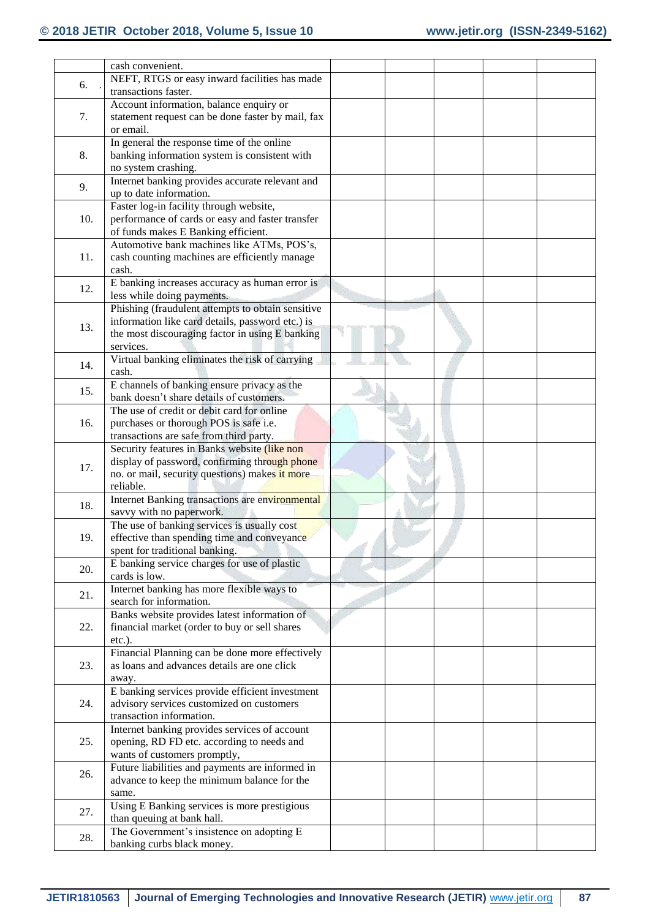|  |     | cash convenient.                                      |  |  |  |
|--|-----|-------------------------------------------------------|--|--|--|
|  |     | NEFT, RTGS or easy inward facilities has made         |  |  |  |
|  | 6.  | transactions faster.                                  |  |  |  |
|  |     | Account information, balance enquiry or               |  |  |  |
|  | 7.  | statement request can be done faster by mail, fax     |  |  |  |
|  |     | or email.                                             |  |  |  |
|  |     | In general the response time of the online            |  |  |  |
|  | 8.  | banking information system is consistent with         |  |  |  |
|  |     | no system crashing.                                   |  |  |  |
|  |     | Internet banking provides accurate relevant and       |  |  |  |
|  | 9.  | up to date information.                               |  |  |  |
|  | 10. | Faster log-in facility through website,               |  |  |  |
|  |     | performance of cards or easy and faster transfer      |  |  |  |
|  |     | of funds makes E Banking efficient.                   |  |  |  |
|  |     | Automotive bank machines like ATMs, POS's,            |  |  |  |
|  | 11. | cash counting machines are efficiently manage         |  |  |  |
|  |     | cash.                                                 |  |  |  |
|  |     | E banking increases accuracy as human error is        |  |  |  |
|  | 12. | less while doing payments.                            |  |  |  |
|  |     | Phishing (fraudulent attempts to obtain sensitive     |  |  |  |
|  |     | information like card details, password etc.) is      |  |  |  |
|  | 13. | the most discouraging factor in using E banking       |  |  |  |
|  |     | services.                                             |  |  |  |
|  |     | Virtual banking eliminates the risk of carrying       |  |  |  |
|  | 14. | cash.                                                 |  |  |  |
|  |     | E channels of banking ensure privacy as the           |  |  |  |
|  | 15. | bank doesn't share details of customers.              |  |  |  |
|  |     | The use of credit or debit card for online            |  |  |  |
|  | 16. | purchases or thorough POS is safe i.e.                |  |  |  |
|  |     | transactions are safe from third party.               |  |  |  |
|  |     | Security features in Banks website (like non          |  |  |  |
|  | 17. | display of password, confirming through phone         |  |  |  |
|  |     | no. or mail, security questions) makes it more        |  |  |  |
|  |     | reliable.                                             |  |  |  |
|  | 18. | Internet Banking transactions are environmental       |  |  |  |
|  |     | savvy with no paperwork.                              |  |  |  |
|  |     | The use of banking services is usually cost           |  |  |  |
|  | 19. | effective than spending time and conveyance           |  |  |  |
|  |     | spent for traditional banking.                        |  |  |  |
|  | 20. | E banking service charges for use of plastic          |  |  |  |
|  |     | cards is low.                                         |  |  |  |
|  | 21. | Internet banking has more flexible ways to            |  |  |  |
|  |     | search for information.                               |  |  |  |
|  | 22. | Banks website provides latest information of          |  |  |  |
|  |     | financial market (order to buy or sell shares         |  |  |  |
|  |     | $etc.$ ).                                             |  |  |  |
|  | 23. | Financial Planning can be done more effectively       |  |  |  |
|  |     | as loans and advances details are one click           |  |  |  |
|  |     | away.                                                 |  |  |  |
|  |     | E banking services provide efficient investment       |  |  |  |
|  | 24. | advisory services customized on customers             |  |  |  |
|  |     | transaction information.                              |  |  |  |
|  |     | Internet banking provides services of account         |  |  |  |
|  | 25. | opening, RD FD etc. according to needs and            |  |  |  |
|  |     | wants of customers promptly,                          |  |  |  |
|  | 26. | Future liabilities and payments are informed in       |  |  |  |
|  |     | advance to keep the minimum balance for the           |  |  |  |
|  |     | same.<br>Using E Banking services is more prestigious |  |  |  |
|  | 27. | than queuing at bank hall.                            |  |  |  |
|  |     | The Government's insistence on adopting E             |  |  |  |
|  | 28. | banking curbs black money.                            |  |  |  |
|  |     |                                                       |  |  |  |